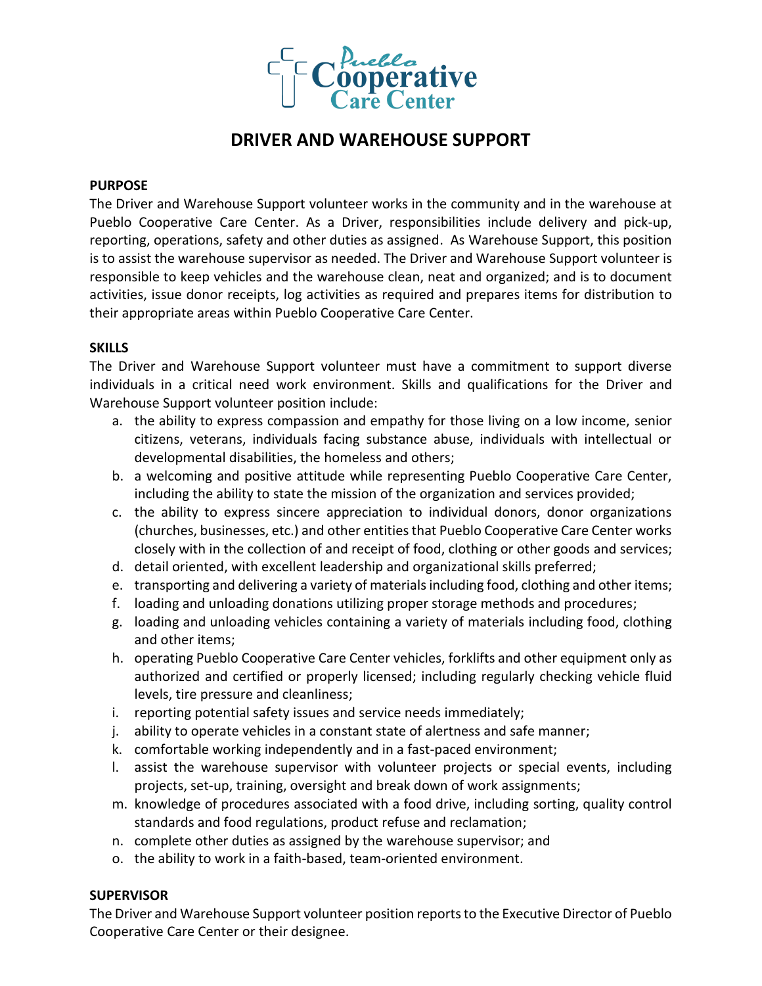

# **DRIVER AND WAREHOUSE SUPPORT**

## **PURPOSE**

The Driver and Warehouse Support volunteer works in the community and in the warehouse at Pueblo Cooperative Care Center. As a Driver, responsibilities include delivery and pick-up, reporting, operations, safety and other duties as assigned. As Warehouse Support, this position is to assist the warehouse supervisor as needed. The Driver and Warehouse Support volunteer is responsible to keep vehicles and the warehouse clean, neat and organized; and is to document activities, issue donor receipts, log activities as required and prepares items for distribution to their appropriate areas within Pueblo Cooperative Care Center.

## **SKILLS**

The Driver and Warehouse Support volunteer must have a commitment to support diverse individuals in a critical need work environment. Skills and qualifications for the Driver and Warehouse Support volunteer position include:

- a. the ability to express compassion and empathy for those living on a low income, senior citizens, veterans, individuals facing substance abuse, individuals with intellectual or developmental disabilities, the homeless and others;
- b. a welcoming and positive attitude while representing Pueblo Cooperative Care Center, including the ability to state the mission of the organization and services provided;
- c. the ability to express sincere appreciation to individual donors, donor organizations (churches, businesses, etc.) and other entities that Pueblo Cooperative Care Center works closely with in the collection of and receipt of food, clothing or other goods and services;
- d. detail oriented, with excellent leadership and organizational skills preferred;
- e. transporting and delivering a variety of materials including food, clothing and other items;
- f. loading and unloading donations utilizing proper storage methods and procedures;
- g. loading and unloading vehicles containing a variety of materials including food, clothing and other items;
- h. operating Pueblo Cooperative Care Center vehicles, forklifts and other equipment only as authorized and certified or properly licensed; including regularly checking vehicle fluid levels, tire pressure and cleanliness;
- i. reporting potential safety issues and service needs immediately;
- j. ability to operate vehicles in a constant state of alertness and safe manner;
- k. comfortable working independently and in a fast-paced environment;
- l. assist the warehouse supervisor with volunteer projects or special events, including projects, set-up, training, oversight and break down of work assignments;
- m. knowledge of procedures associated with a food drive, including sorting, quality control standards and food regulations, product refuse and reclamation;
- n. complete other duties as assigned by the warehouse supervisor; and
- o. the ability to work in a faith-based, team-oriented environment.

## **SUPERVISOR**

The Driver and Warehouse Support volunteer position reports to the Executive Director of Pueblo Cooperative Care Center or their designee.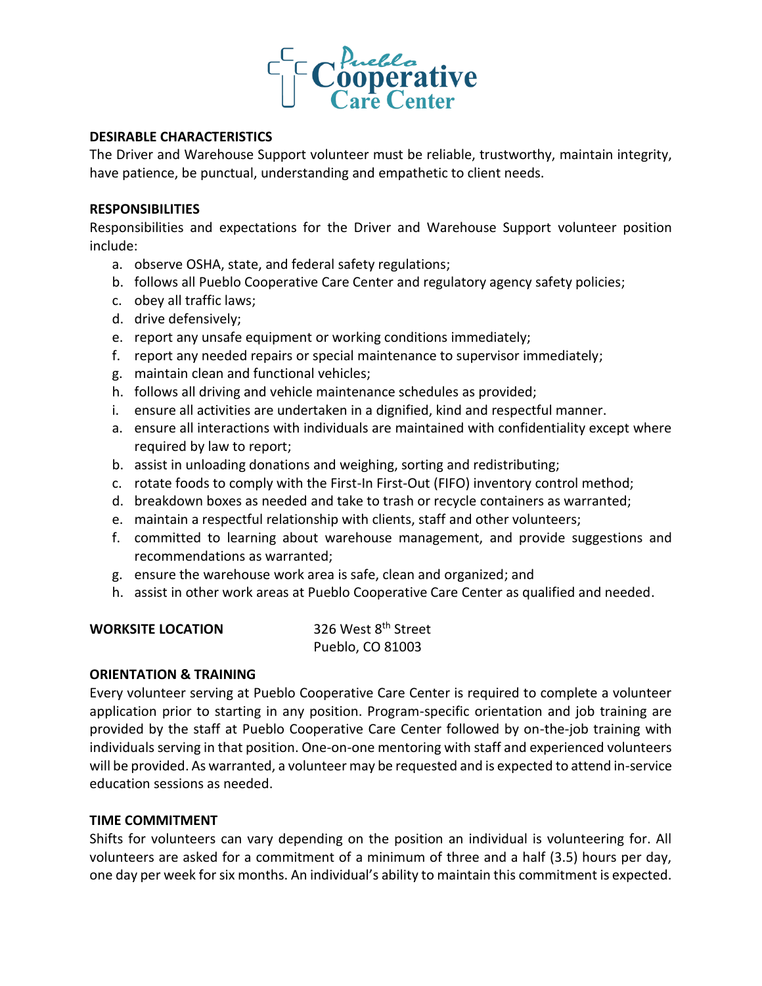

# **DESIRABLE CHARACTERISTICS**

The Driver and Warehouse Support volunteer must be reliable, trustworthy, maintain integrity, have patience, be punctual, understanding and empathetic to client needs.

## **RESPONSIBILITIES**

Responsibilities and expectations for the Driver and Warehouse Support volunteer position include:

- a. observe OSHA, state, and federal safety regulations;
- b. follows all Pueblo Cooperative Care Center and regulatory agency safety policies;
- c. obey all traffic laws;
- d. drive defensively;
- e. report any unsafe equipment or working conditions immediately;
- f. report any needed repairs or special maintenance to supervisor immediately;
- g. maintain clean and functional vehicles;
- h. follows all driving and vehicle maintenance schedules as provided;
- i. ensure all activities are undertaken in a dignified, kind and respectful manner.
- a. ensure all interactions with individuals are maintained with confidentiality except where required by law to report;
- b. assist in unloading donations and weighing, sorting and redistributing;
- c. rotate foods to comply with the First-In First-Out (FIFO) inventory control method;
- d. breakdown boxes as needed and take to trash or recycle containers as warranted;
- e. maintain a respectful relationship with clients, staff and other volunteers;
- f. committed to learning about warehouse management, and provide suggestions and recommendations as warranted;
- g. ensure the warehouse work area is safe, clean and organized; and
- h. assist in other work areas at Pueblo Cooperative Care Center as qualified and needed.

| <b>WORKSITE LOCATION</b> | 326 West 8 <sup>th</sup> Street |
|--------------------------|---------------------------------|
|                          | Pueblo, CO 81003                |

#### **ORIENTATION & TRAINING**

Every volunteer serving at Pueblo Cooperative Care Center is required to complete a volunteer application prior to starting in any position. Program-specific orientation and job training are provided by the staff at Pueblo Cooperative Care Center followed by on-the-job training with individuals serving in that position. One-on-one mentoring with staff and experienced volunteers will be provided. As warranted, a volunteer may be requested and is expected to attend in-service education sessions as needed.

## **TIME COMMITMENT**

Shifts for volunteers can vary depending on the position an individual is volunteering for. All volunteers are asked for a commitment of a minimum of three and a half (3.5) hours per day, one day per week for six months. An individual's ability to maintain this commitment is expected.